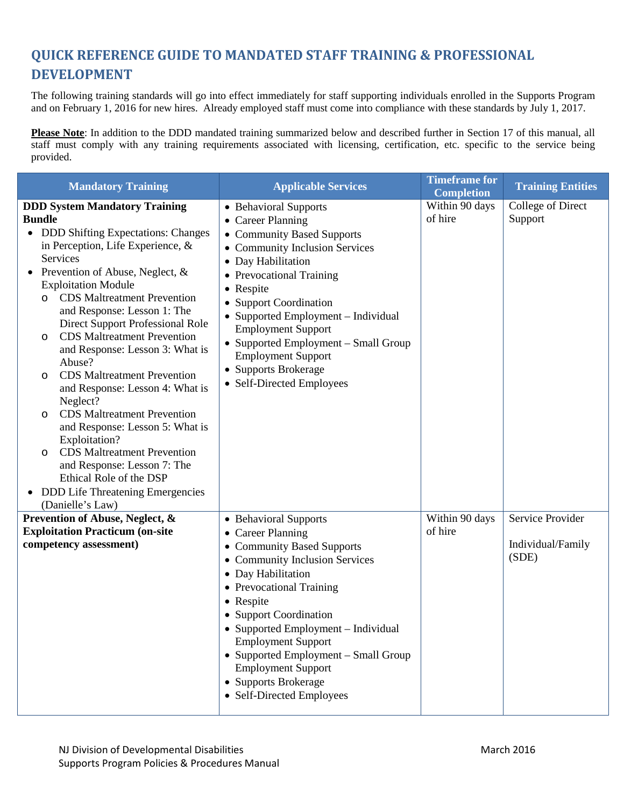## **QUICK REFERENCE GUIDE TO MANDATED STAFF TRAINING & PROFESSIONAL DEVELOPMENT**

The following training standards will go into effect immediately for staff supporting individuals enrolled in the Supports Program and on February 1, 2016 for new hires. Already employed staff must come into compliance with these standards by July 1, 2017.

**Please Note**: In addition to the DDD mandated training summarized below and described further in Section 17 of this manual, all staff must comply with any training requirements associated with licensing, certification, etc. specific to the service being provided.

| <b>Mandatory Training</b>                                                                                                                                                                                                                                                                                                                                                                                                                                                                                                                                                                                                                                                                                                                                                                                             | <b>Applicable Services</b>                                                                                                                                                                                                                                                                                                                                                                        | <b>Timeframe for</b><br><b>Completion</b> | <b>Training Entities</b>                       |
|-----------------------------------------------------------------------------------------------------------------------------------------------------------------------------------------------------------------------------------------------------------------------------------------------------------------------------------------------------------------------------------------------------------------------------------------------------------------------------------------------------------------------------------------------------------------------------------------------------------------------------------------------------------------------------------------------------------------------------------------------------------------------------------------------------------------------|---------------------------------------------------------------------------------------------------------------------------------------------------------------------------------------------------------------------------------------------------------------------------------------------------------------------------------------------------------------------------------------------------|-------------------------------------------|------------------------------------------------|
| <b>DDD System Mandatory Training</b><br><b>Bundle</b><br>• DDD Shifting Expectations: Changes<br>in Perception, Life Experience, $\&$<br>Services<br>Prevention of Abuse, Neglect, &<br>$\bullet$<br><b>Exploitation Module</b><br><b>CDS</b> Maltreatment Prevention<br>$\circ$<br>and Response: Lesson 1: The<br>Direct Support Professional Role<br><b>CDS</b> Maltreatment Prevention<br>O<br>and Response: Lesson 3: What is<br>Abuse?<br><b>CDS</b> Maltreatment Prevention<br>$\circ$<br>and Response: Lesson 4: What is<br>Neglect?<br><b>CDS</b> Maltreatment Prevention<br>$\circ$<br>and Response: Lesson 5: What is<br>Exploitation?<br><b>CDS</b> Maltreatment Prevention<br>$\circ$<br>and Response: Lesson 7: The<br>Ethical Role of the DSP<br>• DDD Life Threatening Emergencies<br>(Danielle's Law) | • Behavioral Supports<br>• Career Planning<br>• Community Based Supports<br>• Community Inclusion Services<br>• Day Habilitation<br>• Prevocational Training<br>• Respite<br>• Support Coordination<br>• Supported Employment - Individual<br><b>Employment Support</b><br>• Supported Employment - Small Group<br><b>Employment Support</b><br>• Supports Brokerage<br>• Self-Directed Employees | Within 90 days<br>of hire                 | College of Direct<br>Support                   |
| Prevention of Abuse, Neglect, &<br><b>Exploitation Practicum (on-site</b><br>competency assessment)                                                                                                                                                                                                                                                                                                                                                                                                                                                                                                                                                                                                                                                                                                                   | • Behavioral Supports<br>• Career Planning<br>• Community Based Supports<br>• Community Inclusion Services<br>• Day Habilitation<br>• Prevocational Training<br>• Respite<br>• Support Coordination<br>• Supported Employment – Individual<br><b>Employment Support</b><br>• Supported Employment - Small Group<br><b>Employment Support</b><br>• Supports Brokerage<br>• Self-Directed Employees | Within 90 days<br>of hire                 | Service Provider<br>Individual/Family<br>(SDE) |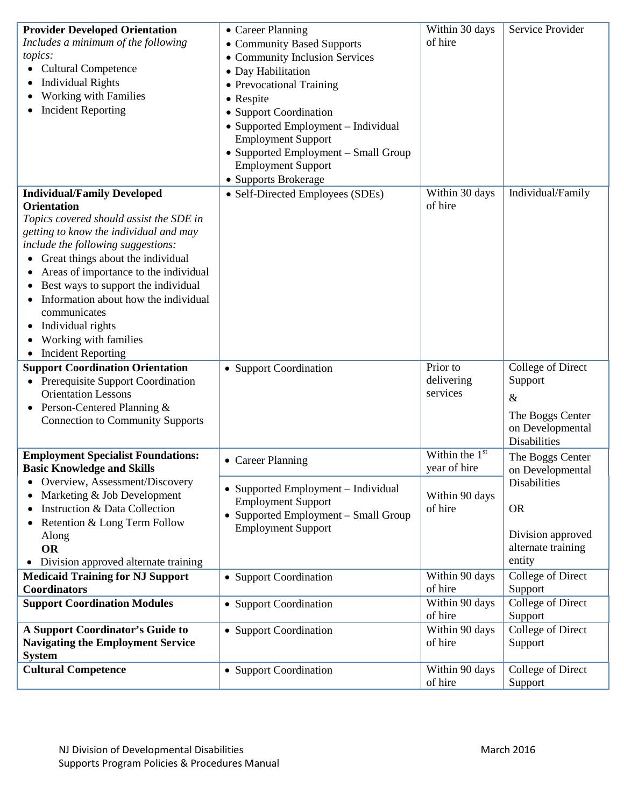| <b>Provider Developed Orientation</b>     | • Career Planning                    | Within 30 days   | Service Provider    |
|-------------------------------------------|--------------------------------------|------------------|---------------------|
| Includes a minimum of the following       | • Community Based Supports           | of hire          |                     |
| topics:                                   | • Community Inclusion Services       |                  |                     |
| • Cultural Competence                     | • Day Habilitation                   |                  |                     |
| <b>Individual Rights</b><br>٠             | • Prevocational Training             |                  |                     |
| Working with Families                     | • Respite                            |                  |                     |
| <b>Incident Reporting</b>                 | • Support Coordination               |                  |                     |
|                                           | • Supported Employment - Individual  |                  |                     |
|                                           | <b>Employment Support</b>            |                  |                     |
|                                           | • Supported Employment - Small Group |                  |                     |
|                                           | <b>Employment Support</b>            |                  |                     |
|                                           | • Supports Brokerage                 |                  |                     |
| <b>Individual/Family Developed</b>        | • Self-Directed Employees (SDEs)     | Within 30 days   | Individual/Family   |
| <b>Orientation</b>                        |                                      | of hire          |                     |
| Topics covered should assist the SDE in   |                                      |                  |                     |
| getting to know the individual and may    |                                      |                  |                     |
| include the following suggestions:        |                                      |                  |                     |
| Great things about the individual         |                                      |                  |                     |
| Areas of importance to the individual     |                                      |                  |                     |
| Best ways to support the individual       |                                      |                  |                     |
| Information about how the individual      |                                      |                  |                     |
| communicates                              |                                      |                  |                     |
| Individual rights<br>$\bullet$            |                                      |                  |                     |
| Working with families                     |                                      |                  |                     |
| <b>Incident Reporting</b>                 |                                      |                  |                     |
| <b>Support Coordination Orientation</b>   | • Support Coordination               | Prior to         | College of Direct   |
| • Prerequisite Support Coordination       |                                      | delivering       | Support             |
| <b>Orientation Lessons</b>                |                                      | services         | $\&$                |
| Person-Centered Planning &<br>$\bullet$   |                                      |                  | The Boggs Center    |
| <b>Connection to Community Supports</b>   |                                      |                  | on Developmental    |
|                                           |                                      |                  | <b>Disabilities</b> |
| <b>Employment Specialist Foundations:</b> |                                      | Within the $1st$ | The Boggs Center    |
| <b>Basic Knowledge and Skills</b>         | • Career Planning                    | year of hire     | on Developmental    |
| Overview, Assessment/Discovery            |                                      |                  | <b>Disabilities</b> |
| Marketing & Job Development<br>٠          | • Supported Employment – Individual  | Within 90 days   |                     |
| Instruction & Data Collection<br>٠        | <b>Employment Support</b>            | of hire          | <b>OR</b>           |
| Retention & Long Term Follow<br>٠         | • Supported Employment – Small Group |                  |                     |
| Along                                     | <b>Employment Support</b>            |                  | Division approved   |
| <b>OR</b>                                 |                                      |                  | alternate training  |
| • Division approved alternate training    |                                      |                  | entity              |
| <b>Medicaid Training for NJ Support</b>   | • Support Coordination               | Within 90 days   | College of Direct   |
| <b>Coordinators</b>                       |                                      | of hire          | Support             |
| <b>Support Coordination Modules</b>       | • Support Coordination               | Within 90 days   | College of Direct   |
|                                           |                                      | of hire          | Support             |
| <b>A Support Coordinator's Guide to</b>   | • Support Coordination               | Within 90 days   | College of Direct   |
| <b>Navigating the Employment Service</b>  |                                      | of hire          | Support             |
| <b>System</b>                             |                                      |                  |                     |
| <b>Cultural Competence</b>                | • Support Coordination               | Within 90 days   | College of Direct   |
|                                           |                                      | of hire          | Support             |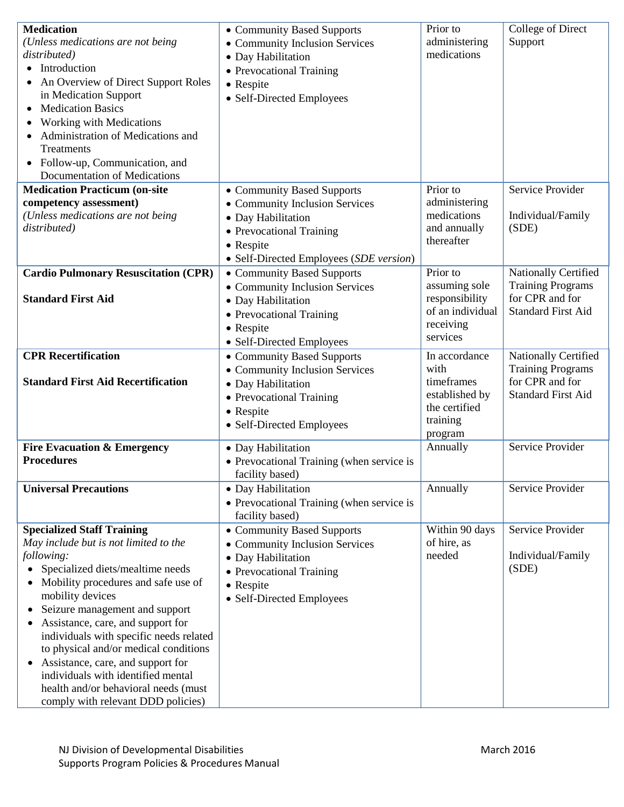| <b>Medication</b><br>(Unless medications are not being)<br>distributed)<br>• Introduction<br>An Overview of Direct Support Roles<br>in Medication Support<br><b>Medication Basics</b><br>Working with Medications<br>Administration of Medications and<br>Treatments<br>Follow-up, Communication, and<br>Documentation of Medications                                                                                                                                                                       | • Community Based Supports<br>• Community Inclusion Services<br>• Day Habilitation<br>• Prevocational Training<br>• Respite<br>• Self-Directed Employees               | Prior to<br>administering<br>medications                                                      | College of Direct<br>Support                                                                     |
|-------------------------------------------------------------------------------------------------------------------------------------------------------------------------------------------------------------------------------------------------------------------------------------------------------------------------------------------------------------------------------------------------------------------------------------------------------------------------------------------------------------|------------------------------------------------------------------------------------------------------------------------------------------------------------------------|-----------------------------------------------------------------------------------------------|--------------------------------------------------------------------------------------------------|
| <b>Medication Practicum (on-site</b><br>competency assessment)<br>(Unless medications are not being<br>distributed)                                                                                                                                                                                                                                                                                                                                                                                         | • Community Based Supports<br>• Community Inclusion Services<br>· Day Habilitation<br>• Prevocational Training<br>• Respite<br>• Self-Directed Employees (SDE version) | Prior to<br>administering<br>medications<br>and annually<br>thereafter                        | Service Provider<br>Individual/Family<br>(SDE)                                                   |
| <b>Cardio Pulmonary Resuscitation (CPR)</b><br><b>Standard First Aid</b>                                                                                                                                                                                                                                                                                                                                                                                                                                    | • Community Based Supports<br>• Community Inclusion Services<br>• Day Habilitation<br>• Prevocational Training<br>• Respite<br>• Self-Directed Employees               | Prior to<br>assuming sole<br>responsibility<br>of an individual<br>receiving<br>services      | Nationally Certified<br><b>Training Programs</b><br>for CPR and for<br><b>Standard First Aid</b> |
| <b>CPR Recertification</b><br><b>Standard First Aid Recertification</b>                                                                                                                                                                                                                                                                                                                                                                                                                                     | • Community Based Supports<br>• Community Inclusion Services<br>• Day Habilitation<br>• Prevocational Training<br>• Respite<br>• Self-Directed Employees               | In accordance<br>with<br>timeframes<br>established by<br>the certified<br>training<br>program | Nationally Certified<br><b>Training Programs</b><br>for CPR and for<br><b>Standard First Aid</b> |
| <b>Fire Evacuation &amp; Emergency</b><br><b>Procedures</b>                                                                                                                                                                                                                                                                                                                                                                                                                                                 | • Day Habilitation<br>• Prevocational Training (when service is<br>facility based)                                                                                     | Annually                                                                                      | Service Provider                                                                                 |
| <b>Universal Precautions</b>                                                                                                                                                                                                                                                                                                                                                                                                                                                                                | • Day Habilitation<br>• Prevocational Training (when service is<br>facility based)                                                                                     | Annually                                                                                      | Service Provider                                                                                 |
| <b>Specialized Staff Training</b><br>May include but is not limited to the<br>following:<br>Specialized diets/mealtime needs<br>Mobility procedures and safe use of<br>mobility devices<br>Seizure management and support<br>Assistance, care, and support for<br>individuals with specific needs related<br>to physical and/or medical conditions<br>Assistance, care, and support for<br>individuals with identified mental<br>health and/or behavioral needs (must<br>comply with relevant DDD policies) | • Community Based Supports<br>• Community Inclusion Services<br>• Day Habilitation<br>• Prevocational Training<br>• Respite<br>• Self-Directed Employees               | Within 90 days<br>of hire, as<br>needed                                                       | Service Provider<br>Individual/Family<br>(SDE)                                                   |